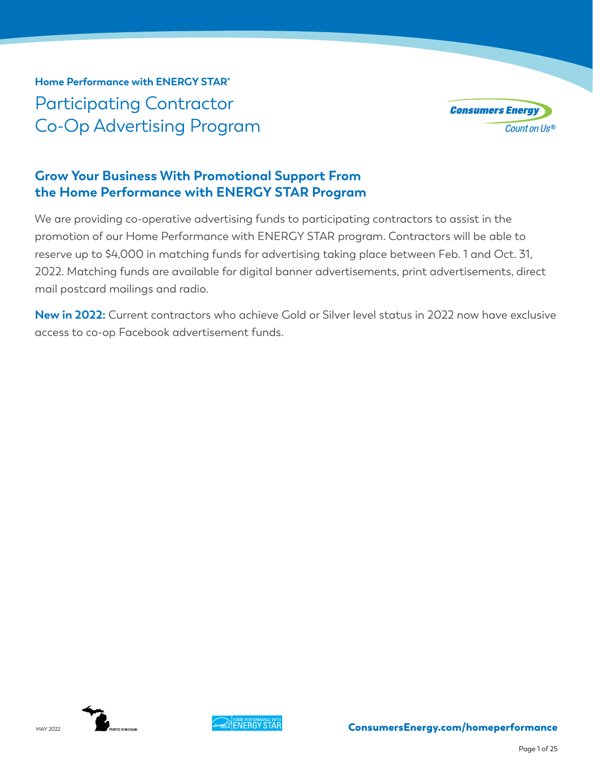**Home Performance with ENERGY STAR®** Participating Contractor Co-Op Advertising Program



# **Grow Your Business With Promotional Support From the Home Performance with ENERGY STAR Program**

We are providing co-operative advertising funds to participating contractors to assist in the promotion of our Home Performance with ENERGY STAR program. Contractors will be able to reserve up to \$4,000 in matching funds for advertising taking place between Feb. 1 and Oct. 31, 2022. Matching funds are available for digital banner advertisements, print advertisements, direct mail postcard mailings and radio.

**New in 2022:** Current contractors who achieve Gold or Silver level status in 2022 now have exclusive access to co-op Facebook advertisement funds.



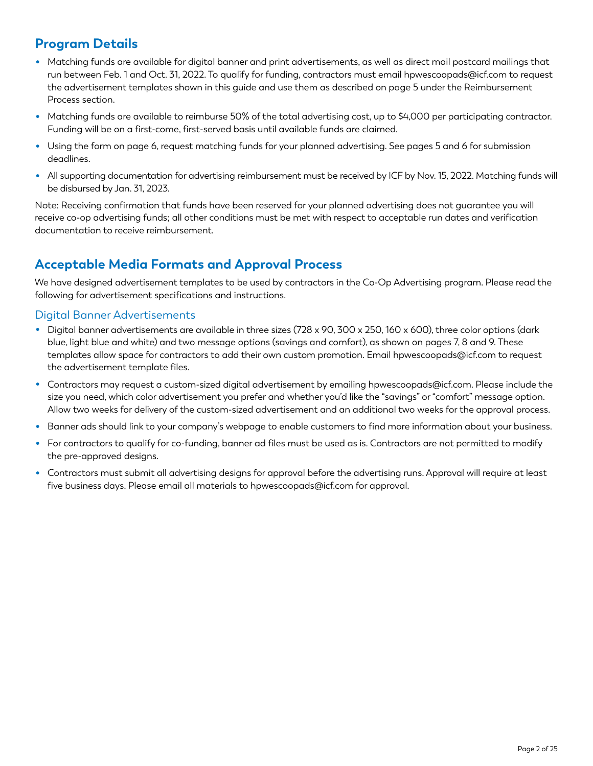# **Program Details**

- Matching funds are available for digital banner and print advertisements, as well as direct mail postcard mailings that run between Feb. 1 and Oct. 31, 2022. To qualify for funding, contractors must email hpwescoopads@icf.com to request the advertisement templates shown in this guide and use them as described on page 5 under the Reimbursement Process section.
- Matching funds are available to reimburse 50% of the total advertising cost, up to \$4,000 per participating contractor. Funding will be on a first-come, first-served basis until available funds are claimed.
- Using the form on page 6, request matching funds for your planned advertising. See pages 5 and 6 for submission deadlines.
- All supporting documentation for advertising reimbursement must be received by ICF by Nov. 15, 2022. Matching funds will be disbursed by Jan. 31, 2023.

Note: Receiving confirmation that funds have been reserved for your planned advertising does not guarantee you will receive co-op advertising funds; all other conditions must be met with respect to acceptable run dates and verification documentation to receive reimbursement.

# **Acceptable Media Formats and Approval Process**

We have designed advertisement templates to be used by contractors in the Co-Op Advertising program. Please read the following for advertisement specifications and instructions.

#### Digital Banner Advertisements

- Digital banner advertisements are available in three sizes (728 x 90, 300 x 250, 160 x 600), three color options (dark blue, light blue and white) and two message options (savings and comfort), as shown on pages 7, 8 and 9. These templates allow space for contractors to add their own custom promotion. Email hpwescoopads@icf.com to request the advertisement template files.
- Contractors may request a custom-sized digital advertisement by emailing hpwescoopads@icf.com. Please include the size you need, which color advertisement you prefer and whether you'd like the "savings" or "comfort" message option. Allow two weeks for delivery of the custom-sized advertisement and an additional two weeks for the approval process.
- Banner ads should link to your company's webpage to enable customers to find more information about your business.
- For contractors to qualify for co-funding, banner ad files must be used as is. Contractors are not permitted to modify the pre-approved designs.
- Contractors must submit all advertising designs for approval before the advertising runs. Approval will require at least five business days. Please email all materials to hpwescoopads@icf.com for approval.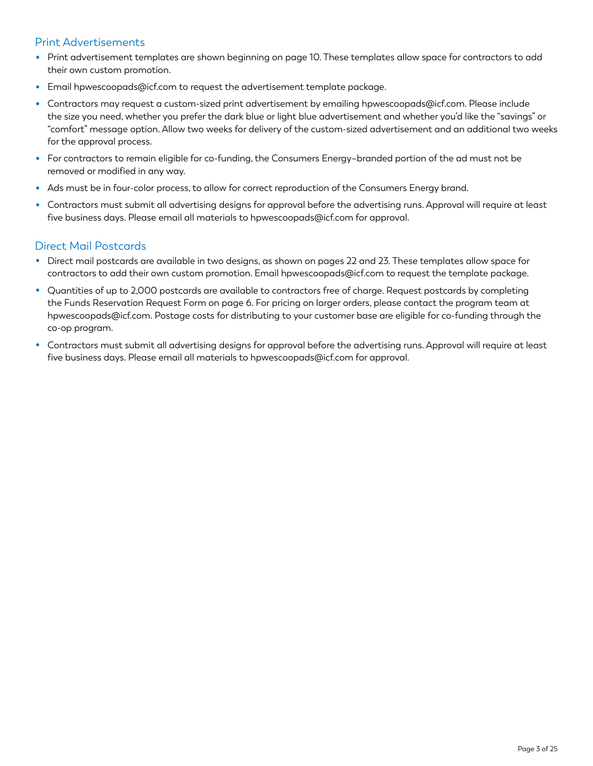#### Print Advertisements

- Print advertisement templates are shown beginning on page 10. These templates allow space for contractors to add their own custom promotion.
- Email hpwescoopads@icf.com to request the advertisement template package.
- Contractors may request a custom-sized print advertisement by emailing hpwescoopads@icf.com. Please include the size you need, whether you prefer the dark blue or light blue advertisement and whether you'd like the "savings" or "comfort" message option. Allow two weeks for delivery of the custom-sized advertisement and an additional two weeks for the approval process.
- For contractors to remain eligible for co-funding, the Consumers Energy–branded portion of the ad must not be removed or modified in any way.
- Ads must be in four-color process, to allow for correct reproduction of the Consumers Energy brand.
- Contractors must submit all advertising designs for approval before the advertising runs. Approval will require at least five business days. Please email all materials to hpwescoopads@icf.com for approval.

#### Direct Mail Postcards

- Direct mail postcards are available in two designs, as shown on pages 22 and 23. These templates allow space for contractors to add their own custom promotion. Email hpwescoopads@icf.com to request the template package.
- Quantities of up to 2,000 postcards are available to contractors free of charge. Request postcards by completing the Funds Reservation Request Form on page 6. For pricing on larger orders, please contact the program team at hpwescoopads@icf.com. Postage costs for distributing to your customer base are eligible for co-funding through the co-op program.
- Contractors must submit all advertising designs for approval before the advertising runs. Approval will require at least five business days. Please email all materials to hpwescoopads@icf.com for approval.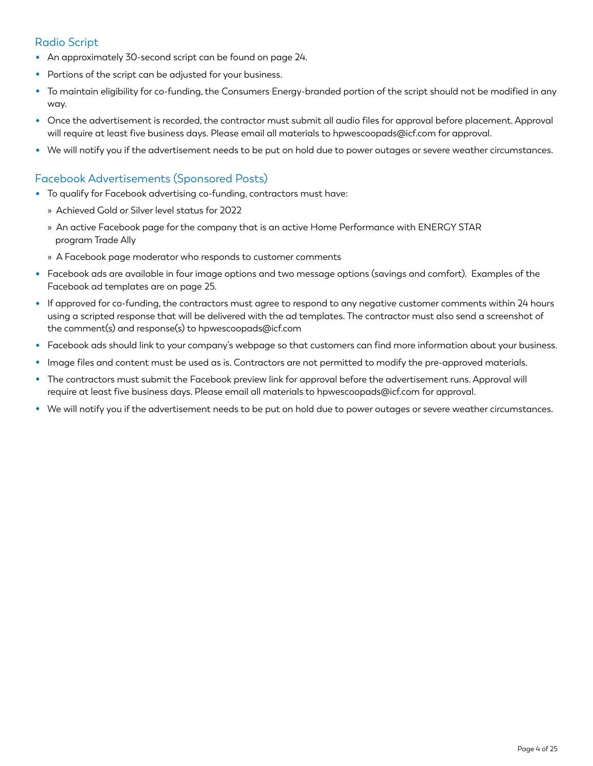#### Radio Script

- An approximately 30-second script can be found on page 24.
- Portions of the script can be adjusted for your business.
- To maintain eligibility for co-funding, the Consumers Energy-branded portion of the script should not be modified in any way.
- Once the advertisement is recorded, the contractor must submit all audio files for approval before placement. Approval will require at least five business days. Please email all materials to hpwescoopads@icf.com for approval.
- We will notify you if the advertisement needs to be put on hold due to power outages or severe weather circumstances.

#### Facebook Advertisements (Sponsored Posts)

- To qualify for Facebook advertising co-funding, contractors must have:
	- » Achieved Gold or Silver level status for 2022
	- » An active Facebook page for the company that is an active Home Performance with ENERGY STAR program Trade Ally
	- » A Facebook page moderator who responds to customer comments
- Facebook ads are available in four image options and two message options (savings and comfort). Examples of the Facebook ad templates are on page 25.
- If approved for co-funding, the contractors must agree to respond to any negative customer comments within 24 hours using a scripted response that will be delivered with the ad templates. The contractor must also send a screenshot of the comment(s) and response(s) to hpwescoopads@icf.com
- Facebook ads should link to your company's webpage so that customers can find more information about your business.
- Image files and content must be used as is. Contractors are not permitted to modify the pre-approved materials.
- The contractors must submit the Facebook preview link for approval before the advertisement runs. Approval will require at least five business days. Please email all materials to hpwescoopads@icf.com for approval.
- We will notify you if the advertisement needs to be put on hold due to power outages or severe weather circumstances.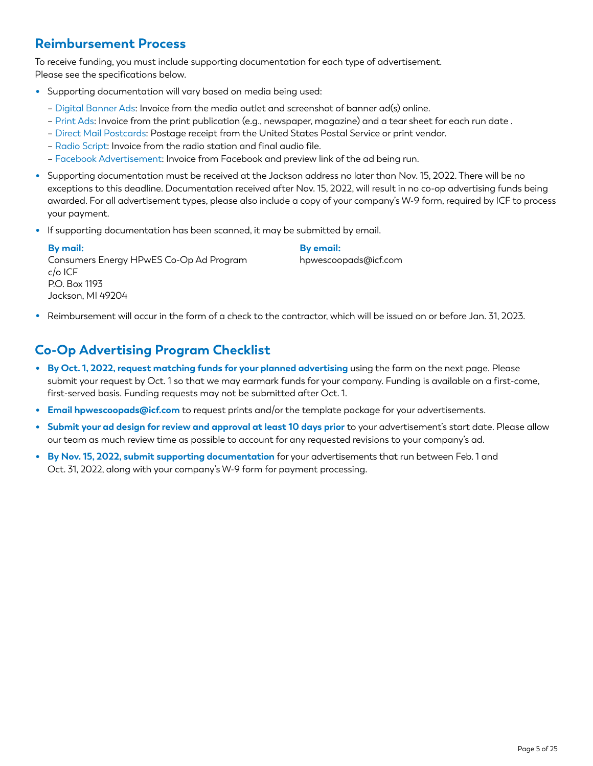# **Reimbursement Process**

To receive funding, you must include supporting documentation for each type of advertisement. Please see the specifications below.

- Supporting documentation will vary based on media being used:
	- Digital Banner Ads: Invoice from the media outlet and screenshot of banner ad(s) online.
	- Print Ads: Invoice from the print publication (e.g., newspaper, magazine) and a tear sheet for each run date .
	- Direct Mail Postcards: Postage receipt from the United States Postal Service or print vendor.
	- Radio Script: Invoice from the radio station and final audio file.
	- Facebook Advertisement: Invoice from Facebook and preview link of the ad being run.
- Supporting documentation must be received at the Jackson address no later than Nov. 15, 2022. There will be no exceptions to this deadline. Documentation received after Nov. 15, 2022, will result in no co-op advertising funds being awarded. For all advertisement types, please also include a copy of your company's W-9 form, required by ICF to process your payment.
- If supporting documentation has been scanned, it may be submitted by email.

| By mail:                                | By email:            |
|-----------------------------------------|----------------------|
| Consumers Energy HPwES Co-Op Ad Program | hpwescoopads@icf.com |
| $c/\sigma$ ICF                          |                      |
| P.O. Box 1193                           |                      |
| Jackson, MI 49204                       |                      |

• Reimbursement will occur in the form of a check to the contractor, which will be issued on or before Jan. 31, 2023.

# **Co-Op Advertising Program Checklist**

- **By Oct. 1, 2022, request matching funds for your planned advertising** using the form on the next page. Please submit your request by Oct. 1 so that we may earmark funds for your company. Funding is available on a first-come, first-served basis. Funding requests may not be submitted after Oct. 1.
- **Email hpwescoopads@icf.com** to request prints and/or the template package for your advertisements.
- **Submit your ad design for review and approval at least 10 days prior** to your advertisement's start date. Please allow our team as much review time as possible to account for any requested revisions to your company's ad.
- **By Nov. 15, 2022, submit supporting documentation** for your advertisements that run between Feb. 1 and Oct. 31, 2022, along with your company's W-9 form for payment processing.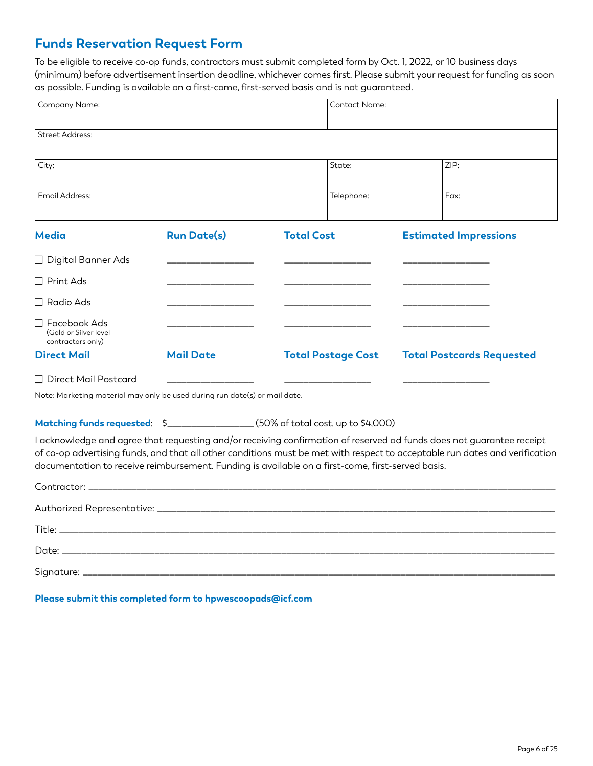# **Funds Reservation Request Form**

To be eligible to receive co-op funds, contractors must submit completed form by Oct. 1, 2022, or 10 business days (minimum) before advertisement insertion deadline, whichever comes first. Please submit your request for funding as soon as possible. Funding is available on a first-come, first-served basis and is not guaranteed.

| Company Name:                                                                                                                                                                                                                                                                                                                                             |                    |                   | Contact Name:             |                                  |
|-----------------------------------------------------------------------------------------------------------------------------------------------------------------------------------------------------------------------------------------------------------------------------------------------------------------------------------------------------------|--------------------|-------------------|---------------------------|----------------------------------|
| <b>Street Address:</b>                                                                                                                                                                                                                                                                                                                                    |                    |                   |                           |                                  |
| City:                                                                                                                                                                                                                                                                                                                                                     |                    |                   | State:                    | ZIP:                             |
| Email Address:                                                                                                                                                                                                                                                                                                                                            |                    |                   | Telephone:                | Fax:                             |
| <b>Media</b>                                                                                                                                                                                                                                                                                                                                              | <b>Run Date(s)</b> | <b>Total Cost</b> |                           | <b>Estimated Impressions</b>     |
| $\Box$ Digital Banner Ads                                                                                                                                                                                                                                                                                                                                 |                    |                   |                           |                                  |
| $\Box$ Print Ads                                                                                                                                                                                                                                                                                                                                          |                    |                   |                           |                                  |
| $\Box$ Radio Ads                                                                                                                                                                                                                                                                                                                                          |                    |                   |                           |                                  |
| $\Box$ Facebook Ads<br>(Gold or Silver level<br>contractors only)                                                                                                                                                                                                                                                                                         |                    |                   |                           |                                  |
| <b>Direct Mail</b>                                                                                                                                                                                                                                                                                                                                        | <b>Mail Date</b>   |                   | <b>Total Postage Cost</b> | <b>Total Postcards Requested</b> |
| $\Box$ Direct Mail Postcard                                                                                                                                                                                                                                                                                                                               |                    |                   |                           |                                  |
| Note: Marketing material may only be used during run date(s) or mail date.                                                                                                                                                                                                                                                                                |                    |                   |                           |                                  |
| Matching funds requested: \$__________________(50% of total cost, up to \$4,000)                                                                                                                                                                                                                                                                          |                    |                   |                           |                                  |
| I acknowledge and agree that requesting and/or receiving confirmation of reserved ad funds does not guarantee receipt<br>of co-op advertising funds, and that all other conditions must be met with respect to acceptable run dates and verification<br>documentation to receive reimbursement. Funding is available on a first-come, first-served basis. |                    |                   |                           |                                  |
|                                                                                                                                                                                                                                                                                                                                                           |                    |                   |                           |                                  |
|                                                                                                                                                                                                                                                                                                                                                           |                    |                   |                           |                                  |
|                                                                                                                                                                                                                                                                                                                                                           |                    |                   |                           |                                  |
| Date: the contract of the contract of the contract of the contract of the contract of the contract of the contract of the contract of the contract of the contract of the contract of the contract of the contract of the cont                                                                                                                            |                    |                   |                           |                                  |
|                                                                                                                                                                                                                                                                                                                                                           |                    |                   |                           |                                  |

**Please submit this completed form to hpwescoopads@icf.com**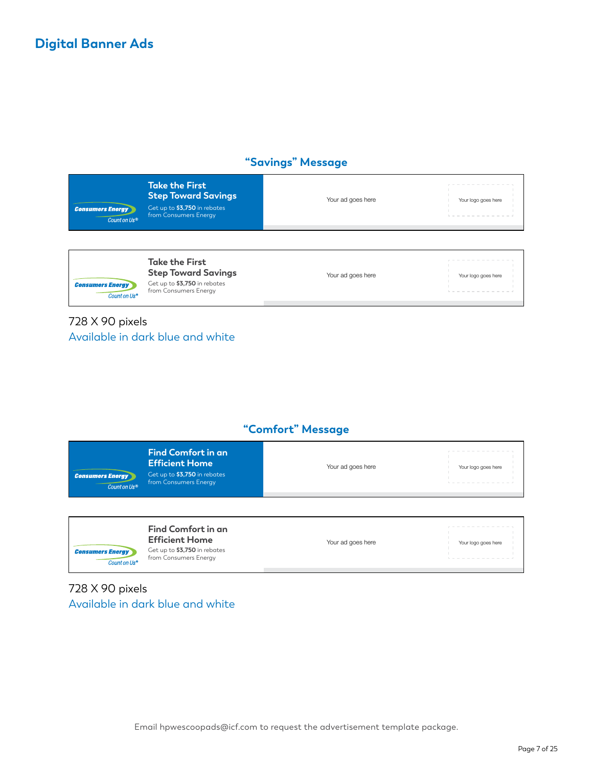### **"Savings" Message**



**Take the First Step Toward Savings** Get up to **\$3,750** in rebates from Consumers Energy

Your ad goes here Your logo goes here

728 X 90 pixels Available in dark blue and white

## **"Comfort" Message**

| <b>Consumers Energy</b><br>Count on Us <sup>®</sup> | <b>Find Comfort in an</b><br><b>Efficient Home</b><br>Get up to \$3,750 in rebates<br>from Consumers Energy | Your ad goes here | ______<br>Your logo goes here |
|-----------------------------------------------------|-------------------------------------------------------------------------------------------------------------|-------------------|-------------------------------|
|                                                     |                                                                                                             |                   |                               |

| Find Comfort in an<br><b>Efficient Home</b><br>Get up to \$3,750 in rebates<br><b>Consumers Energy</b><br>from Consumers Energy<br>Count on Us® | Your ad goes here | Your logo goes here |
|-------------------------------------------------------------------------------------------------------------------------------------------------|-------------------|---------------------|
|-------------------------------------------------------------------------------------------------------------------------------------------------|-------------------|---------------------|

## 728 X 90 pixels Available in dark blue and white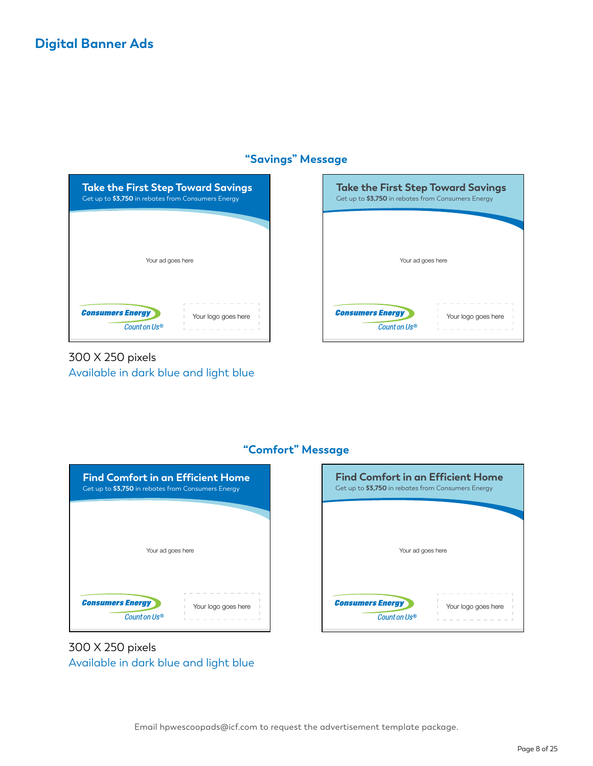#### **"Savings" Message**



# 300 X 250 pixels Available in dark blue and light blue





## **"Comfort" Message**

300 X 250 pixels Available in dark blue and light blue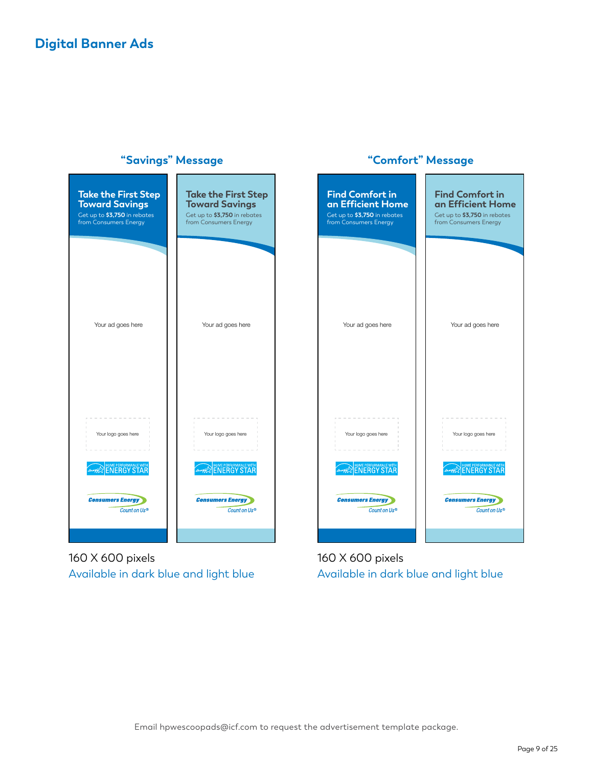

160 X 600 pixels Available in dark blue and light blue

160 X 600 pixels Available in dark blue and light blue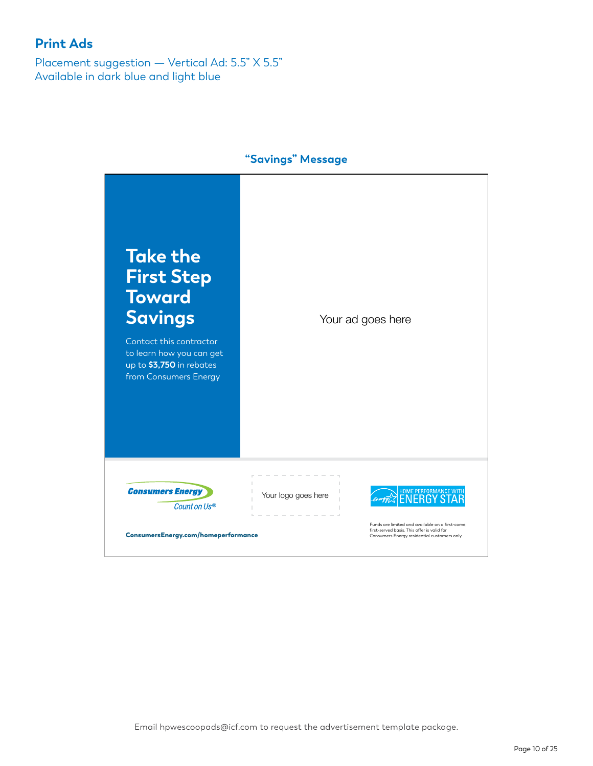Placement suggestion — Vertical Ad: 5.5" X 5.5" Available in dark blue and light blue

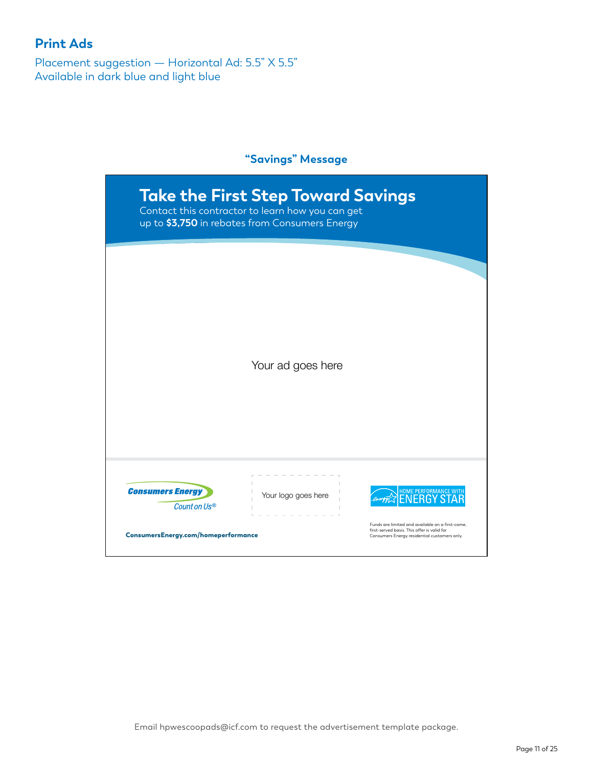Placement suggestion — Horizontal Ad: 5.5" X 5.5" Available in dark blue and light blue

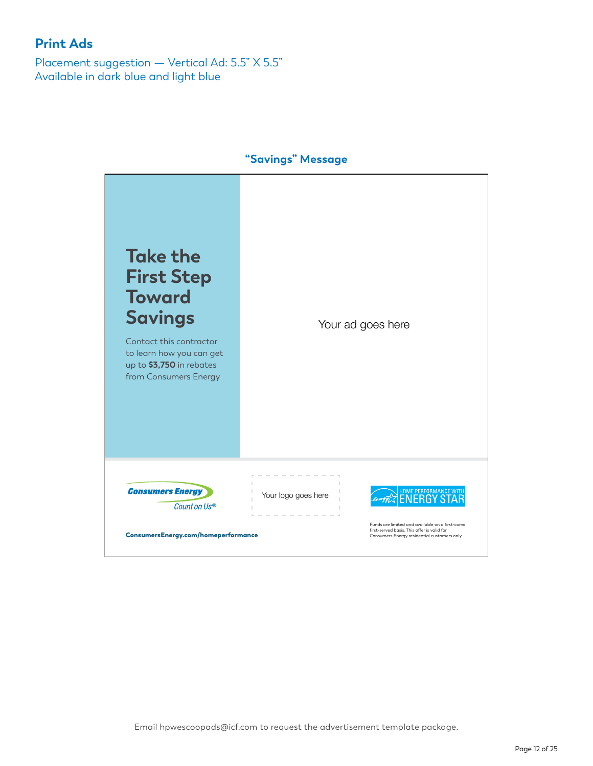Placement suggestion — Vertical Ad: 5.5" X 5.5" Available in dark blue and light blue

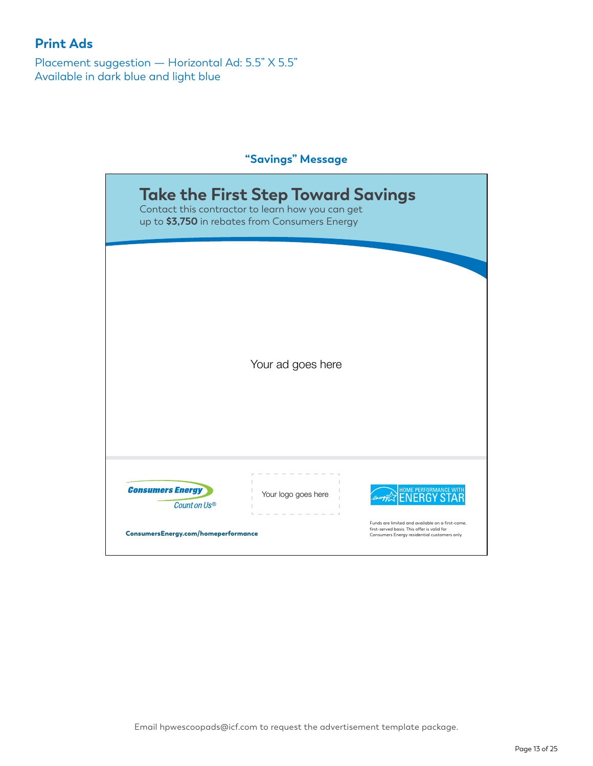Placement suggestion — Horizontal Ad: 5.5" X 5.5" Available in dark blue and light blue

|                                                                                | <b>Take the First Step Toward Savings</b><br>Contact this contractor to learn how you can get<br>up to \$3,750 in rebates from Consumers Energy |                                                                                                                                                                                        |  |  |
|--------------------------------------------------------------------------------|-------------------------------------------------------------------------------------------------------------------------------------------------|----------------------------------------------------------------------------------------------------------------------------------------------------------------------------------------|--|--|
|                                                                                | Your ad goes here                                                                                                                               |                                                                                                                                                                                        |  |  |
| <b>Consumers Energy</b><br>Count on Us®<br>ConsumersEnergy.com/homeperformance | Your logo goes here                                                                                                                             | <b>HOME PERFORMANCE WITH</b><br>:RG<br>Funds are limited and available on a first-come,<br>first-served basis. This offer is valid for<br>Consumers Energy residential customers only. |  |  |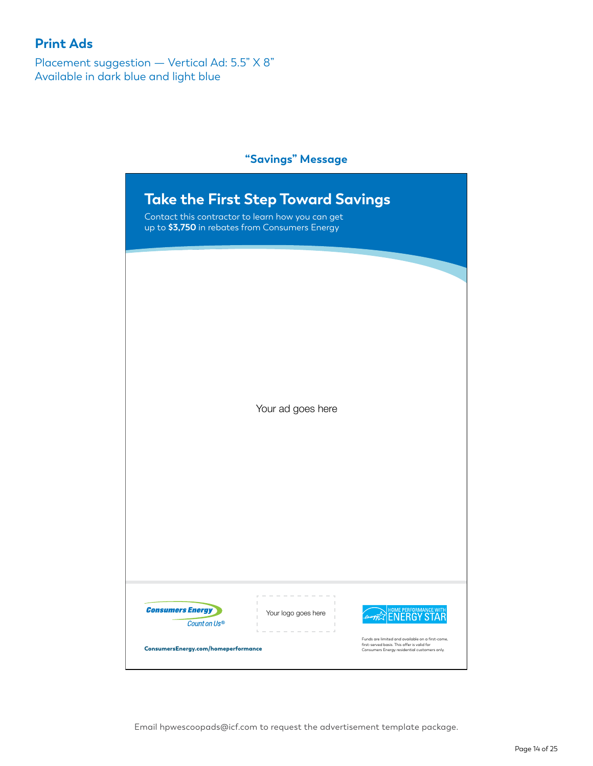Placement suggestion — Vertical Ad: 5.5" X 8" Available in dark blue and light blue

#### **"Savings" Message**

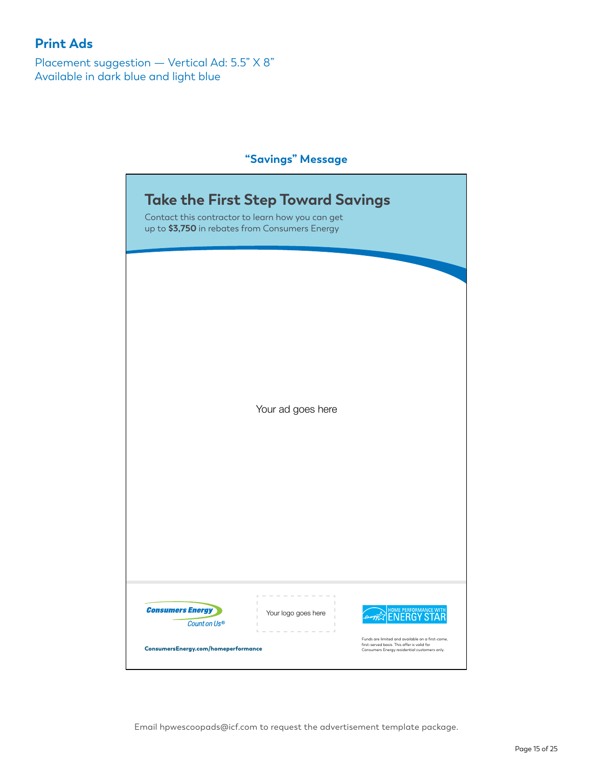Placement suggestion — Vertical Ad: 5.5" X 8" Available in dark blue and light blue

## **"Savings" Message**

|                                         | <b>Take the First Step Toward Savings</b><br>Contact this contractor to learn how you can get<br>up to \$3,750 in rebates from Consumers Energy |                                                                                                                                         |
|-----------------------------------------|-------------------------------------------------------------------------------------------------------------------------------------------------|-----------------------------------------------------------------------------------------------------------------------------------------|
|                                         | Your ad goes here                                                                                                                               |                                                                                                                                         |
| <b>Consumers Energy</b><br>Count on Us® | Your logo goes here                                                                                                                             | HOME PERFORMANCE WITH<br>ENERGY STAR<br>Funds are limited and available on a first-come,<br>first-served basis. This offer is valid for |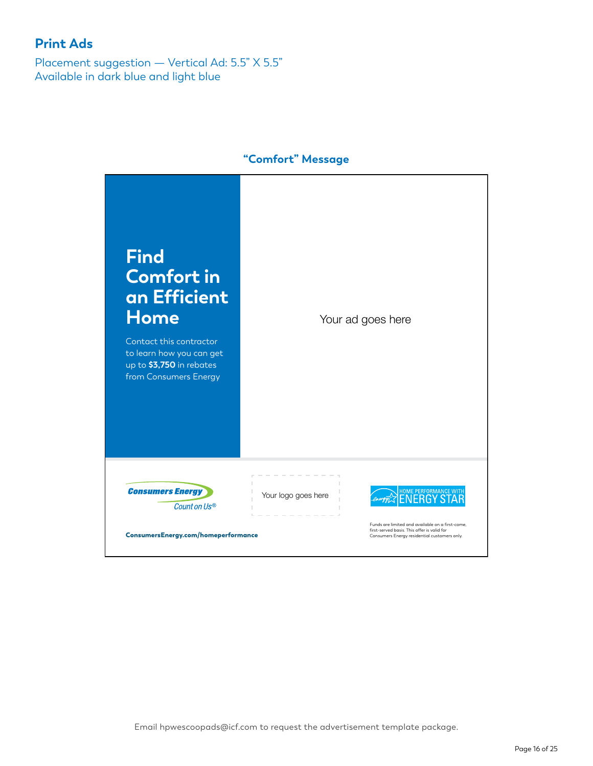Placement suggestion — Vertical Ad: 5.5" X 5.5" Available in dark blue and light blue



## **"Comfort" Message**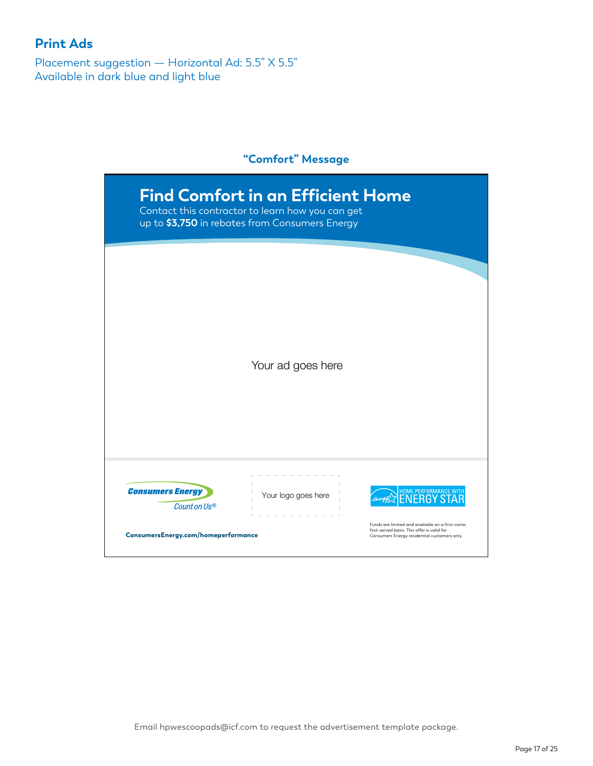Placement suggestion — Horizontal Ad: 5.5" X 5.5" Available in dark blue and light blue

#### **"Comfort" Message**

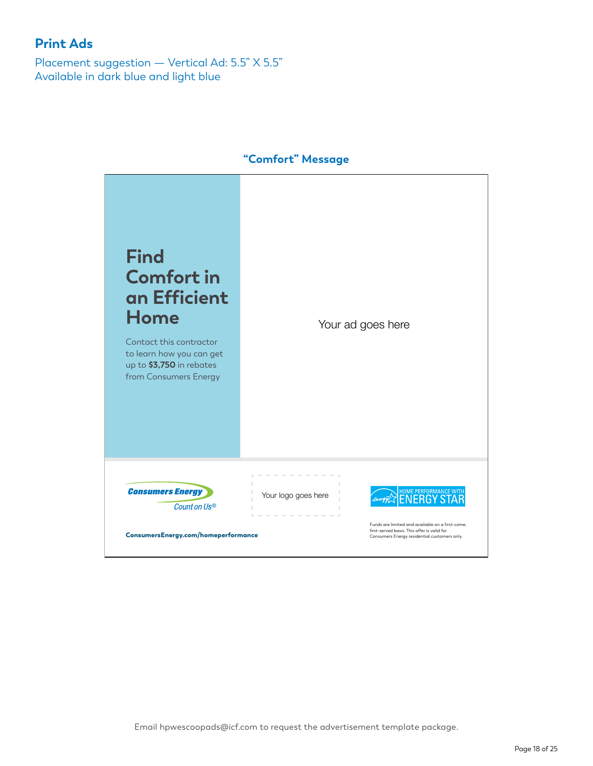Placement suggestion — Vertical Ad: 5.5" X 5.5" Available in dark blue and light blue



#### **"Comfort" Message**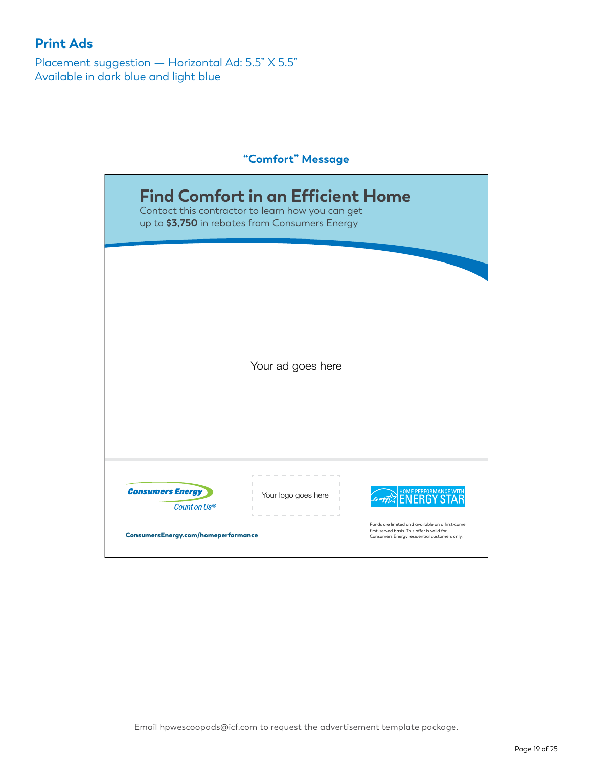Placement suggestion — Horizontal Ad: 5.5" X 5.5" Available in dark blue and light blue

#### **"Comfort" Message**

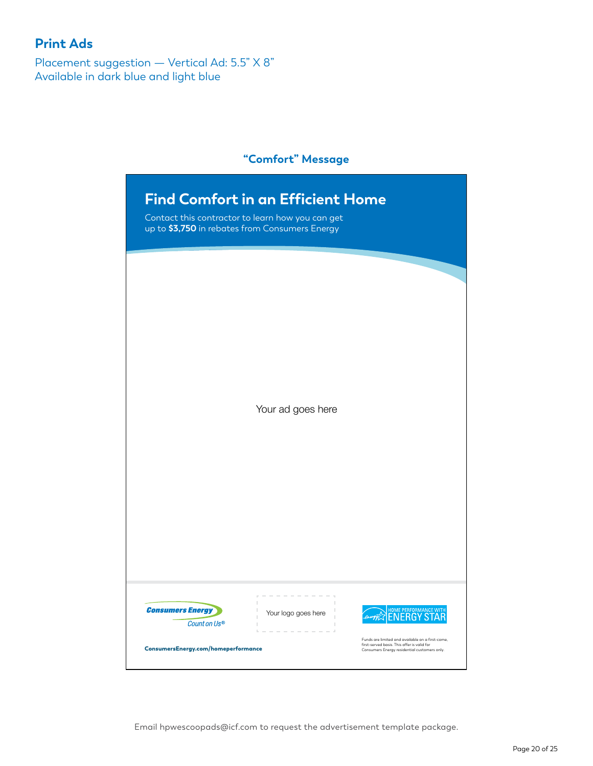Placement suggestion — Vertical Ad: 5.5" X 8" Available in dark blue and light blue

#### **"Comfort" Message**

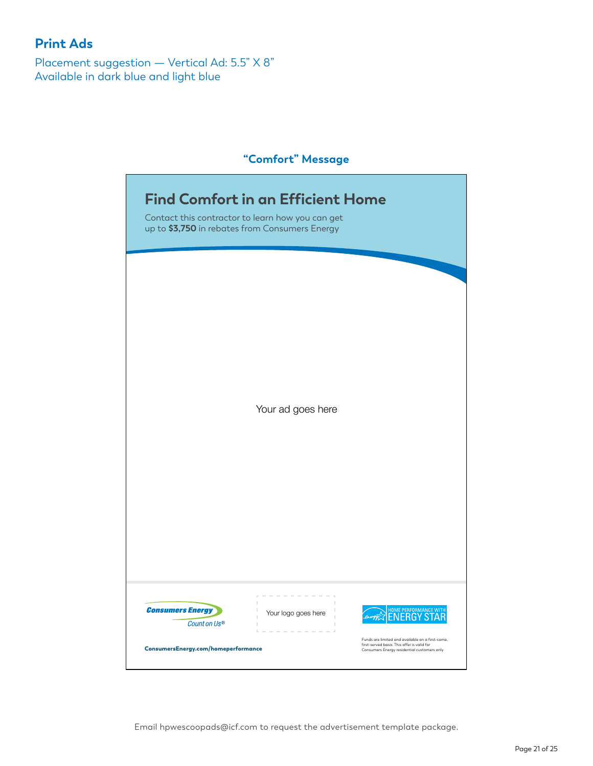Placement suggestion — Vertical Ad: 5.5" X 8" Available in dark blue and light blue

# **"Comfort" Message**

| <b>Find Comfort in an Efficient Home</b><br>Contact this contractor to learn how you can get<br>up to \$3,750 in rebates from Consumers Energy |                     |                                                                                                                                                 |  |
|------------------------------------------------------------------------------------------------------------------------------------------------|---------------------|-------------------------------------------------------------------------------------------------------------------------------------------------|--|
|                                                                                                                                                |                     |                                                                                                                                                 |  |
|                                                                                                                                                |                     |                                                                                                                                                 |  |
|                                                                                                                                                |                     |                                                                                                                                                 |  |
|                                                                                                                                                |                     |                                                                                                                                                 |  |
|                                                                                                                                                | Your ad goes here   |                                                                                                                                                 |  |
|                                                                                                                                                |                     |                                                                                                                                                 |  |
|                                                                                                                                                |                     |                                                                                                                                                 |  |
|                                                                                                                                                |                     |                                                                                                                                                 |  |
|                                                                                                                                                |                     |                                                                                                                                                 |  |
| <b>Consumers Energy</b>                                                                                                                        | Your logo goes here | HOME PERFORMANCE WITH                                                                                                                           |  |
| Count on Us®<br>ConsumersEnergy.com/homeperformance                                                                                            |                     | Funds are limited and available on a first-come,<br>first-served basis. This offer is valid for<br>Consumers Energy residential customers only. |  |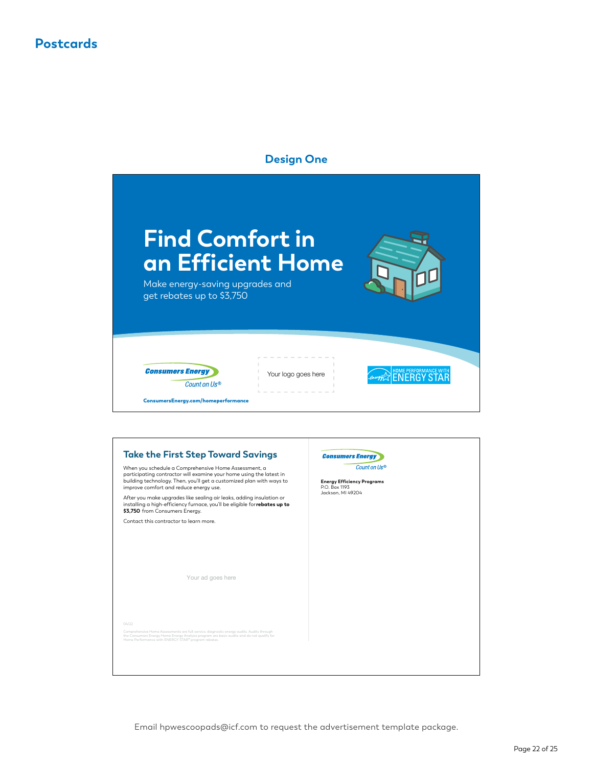## **Postcards**



| <b>Take the First Step Toward Savings</b>                                                                                                                                                                                                     | <b>Consumers Energ</b>                                             |
|-----------------------------------------------------------------------------------------------------------------------------------------------------------------------------------------------------------------------------------------------|--------------------------------------------------------------------|
| When you schedule a Comprehensive Home Assessment, a<br>participating contractor will examine your home using the latest in<br>building technology. Then, you'll get a customized plan with ways to<br>improve comfort and reduce energy use. | Count on Us®<br><b>Energy Efficiency Programs</b><br>P.O. Box 1193 |
| After you make upgrades like sealing air leaks, adding insulation or<br>installing a high-efficiency furnace, you'll be eligible forrebates up to<br>\$3,750 from Consumers Energy.                                                           | Jackson, MI 49204                                                  |
| Contact this contractor to learn more.                                                                                                                                                                                                        |                                                                    |
|                                                                                                                                                                                                                                               |                                                                    |
|                                                                                                                                                                                                                                               |                                                                    |
|                                                                                                                                                                                                                                               |                                                                    |
| Your ad goes here                                                                                                                                                                                                                             |                                                                    |
|                                                                                                                                                                                                                                               |                                                                    |
|                                                                                                                                                                                                                                               |                                                                    |
|                                                                                                                                                                                                                                               |                                                                    |
| O(4/22)                                                                                                                                                                                                                                       |                                                                    |
| Comprehensive Home Assessments are full-service, diagnostic energy audits. Audits through<br>the Consumers Energy Home Energy Analysis program are basic audits and do not qualify for<br>Home Performance with ENERGY STAR® program rebates. |                                                                    |
|                                                                                                                                                                                                                                               |                                                                    |
|                                                                                                                                                                                                                                               |                                                                    |
|                                                                                                                                                                                                                                               |                                                                    |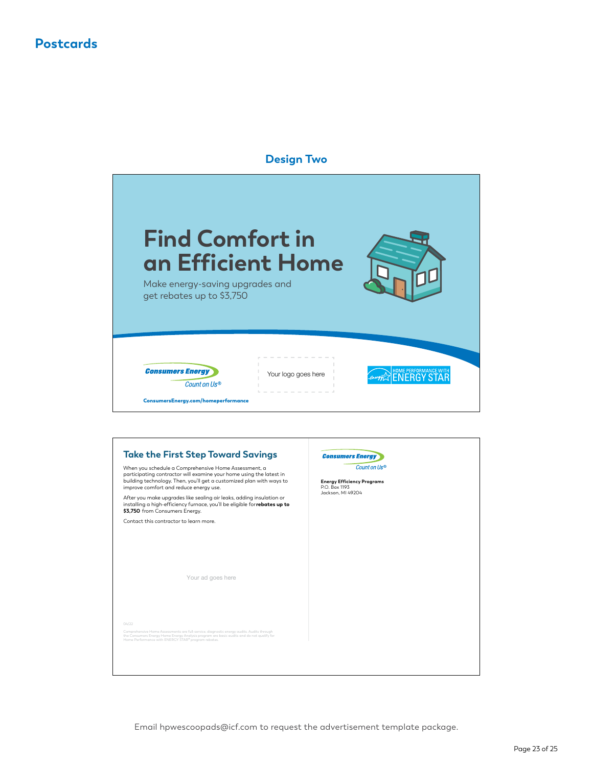## **Postcards**



| <b>Take the First Step Toward Savings</b>                                                                                                                                                                                                     | <b>Consumers Energy</b>                                            |
|-----------------------------------------------------------------------------------------------------------------------------------------------------------------------------------------------------------------------------------------------|--------------------------------------------------------------------|
| When you schedule a Comprehensive Home Assessment, a<br>participating contractor will examine your home using the latest in<br>building technology. Then, you'll get a customized plan with ways to<br>improve comfort and reduce energy use. | Count on Us®<br><b>Energy Efficiency Programs</b><br>P.O. Box 1193 |
| After you make upgrades like sealing air leaks, adding insulation or<br>installing a high-efficiency furnace, you'll be eligible for rebates up to<br>\$3,750 from Consumers Energy.                                                          | Jackson, MI 49204                                                  |
| Contact this contractor to learn more.                                                                                                                                                                                                        |                                                                    |
|                                                                                                                                                                                                                                               |                                                                    |
|                                                                                                                                                                                                                                               |                                                                    |
|                                                                                                                                                                                                                                               |                                                                    |
| Your ad goes here                                                                                                                                                                                                                             |                                                                    |
|                                                                                                                                                                                                                                               |                                                                    |
|                                                                                                                                                                                                                                               |                                                                    |
|                                                                                                                                                                                                                                               |                                                                    |
| O(4/22)                                                                                                                                                                                                                                       |                                                                    |
| Comprehensive Home Assessments are full-service, diagnostic energy audits. Audits through<br>the Consumers Energy Home Energy Analysis program are basic audits and do not qualify for<br>Home Performance with ENERGY STAR® program rebates. |                                                                    |
|                                                                                                                                                                                                                                               |                                                                    |
|                                                                                                                                                                                                                                               |                                                                    |
|                                                                                                                                                                                                                                               |                                                                    |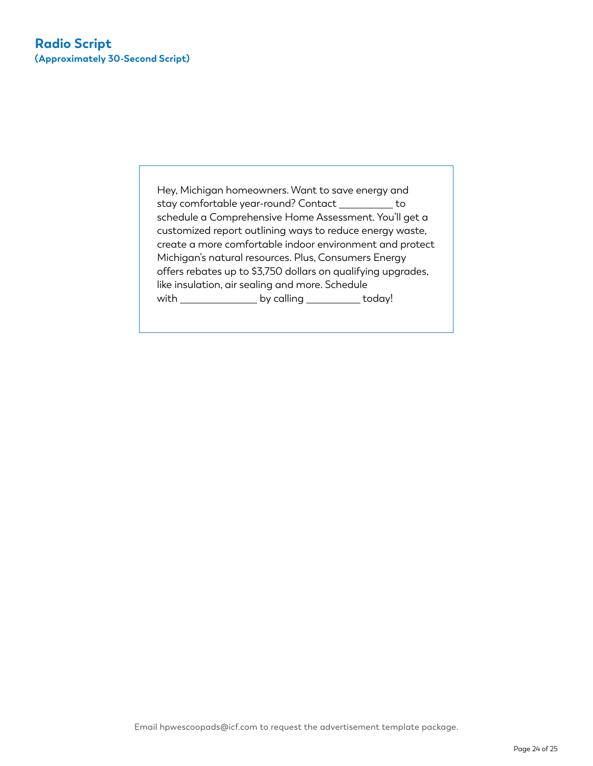Hey, Michigan homeowners. Want to save energy and stay comfortable year-round? Contact \_\_\_\_\_\_\_\_\_ to schedule a Comprehensive Home Assessment. You'll get a customized report outlining ways to reduce energy waste, create a more comfortable indoor environment and protect Michigan's natural resources. Plus, Consumers Energy offers rebates up to \$3,750 dollars on qualifying upgrades, like insulation, air sealing and more. Schedule with \_\_\_\_\_\_\_\_\_\_\_\_\_\_\_\_\_ by calling \_\_\_\_\_\_\_\_\_\_\_ today!